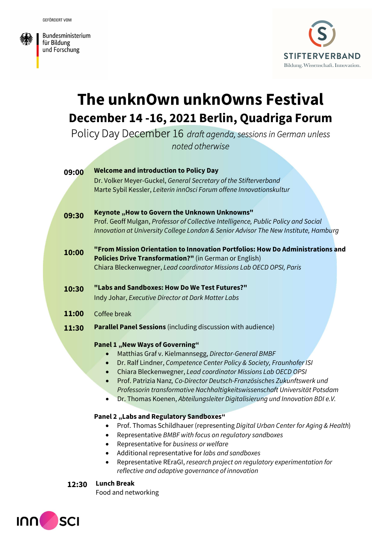Bundesministerium für Bildung und Forschung



# The unknOwn unknOwns Festival December 14 -16, 2021 Berlin, Quadriga Forum

Policy Day December 16 draft agenda, sessions in German unless noted otherwise

| 09:00 | <b>Welcome and introduction to Policy Day</b>                                                                                                                          |
|-------|------------------------------------------------------------------------------------------------------------------------------------------------------------------------|
|       | Dr. Volker Meyer-Guckel, General Secretary of the Stifterverband                                                                                                       |
|       | Marte Sybil Kessler, Leiterin innOsci Forum offene Innovationskultur                                                                                                   |
|       |                                                                                                                                                                        |
| 09:30 | Keynote "How to Govern the Unknown Unknowns"                                                                                                                           |
|       | Prof. Geoff Mulgan, Professor of Collective Intelligence, Public Policy and Social                                                                                     |
|       | Innovation at University College London & Senior Advisor The New Institute, Hamburg                                                                                    |
|       |                                                                                                                                                                        |
| 10:00 | "From Mission Orientation to Innovation Portfolios: How Do Administrations and                                                                                         |
|       | Policies Drive Transformation?" (in German or English)                                                                                                                 |
|       | Chiara Bleckenwegner, Lead coordinator Missions Lab OECD OPSI, Paris                                                                                                   |
|       |                                                                                                                                                                        |
| 10:30 | "Labs and Sandboxes: How Do We Test Futures?"                                                                                                                          |
|       | Indy Johar, Executive Director at Dark Matter Labs                                                                                                                     |
| 11:00 | Coffee break                                                                                                                                                           |
| 11:30 | <b>Parallel Panel Sessions</b> (including discussion with audience)                                                                                                    |
|       |                                                                                                                                                                        |
|       | <b>Panel 1 ,, New Ways of Governing"</b>                                                                                                                               |
|       | Matthias Graf v. Kielmannsegg, Director-General BMBF                                                                                                                   |
|       | Dr. Ralf Lindner, Competence Center Policy & Society, Fraunhofer ISI<br>$\bullet$                                                                                      |
|       | Chiara Bleckenwegner, Lead coordinator Missions Lab OECD OPSI<br>$\bullet$                                                                                             |
|       | Prof. Patrizia Nanz, Co-Director Deutsch-Französisches Zukunftswerk und<br>$\bullet$                                                                                   |
|       | Professorin transformative Nachhaltigkeitswissenschaft Universität Potsdam<br>Dr. Thomas Koenen, Abteilungsleiter Digitalisierung und Innovation BDI e.V.<br>$\bullet$ |
|       |                                                                                                                                                                        |
|       | <b>Panel 2 "Labs and Regulatory Sandboxes"</b>                                                                                                                         |
|       | Prof. Thomas Schildhauer (representing Digital Urban Center for Aging & Health)                                                                                        |
|       | Representative BMBF with focus on regulatory sandboxes<br>٠                                                                                                            |
|       | Representative for business or welfare<br>$\bullet$                                                                                                                    |
|       | Additional representative for labs and sandboxes                                                                                                                       |
|       | Representative REraGI, research project on regulatory experimentation for<br>$\bullet$                                                                                 |

reflective and adaptive governance of innovation

### 12:30 Lunch Break

Food and networking